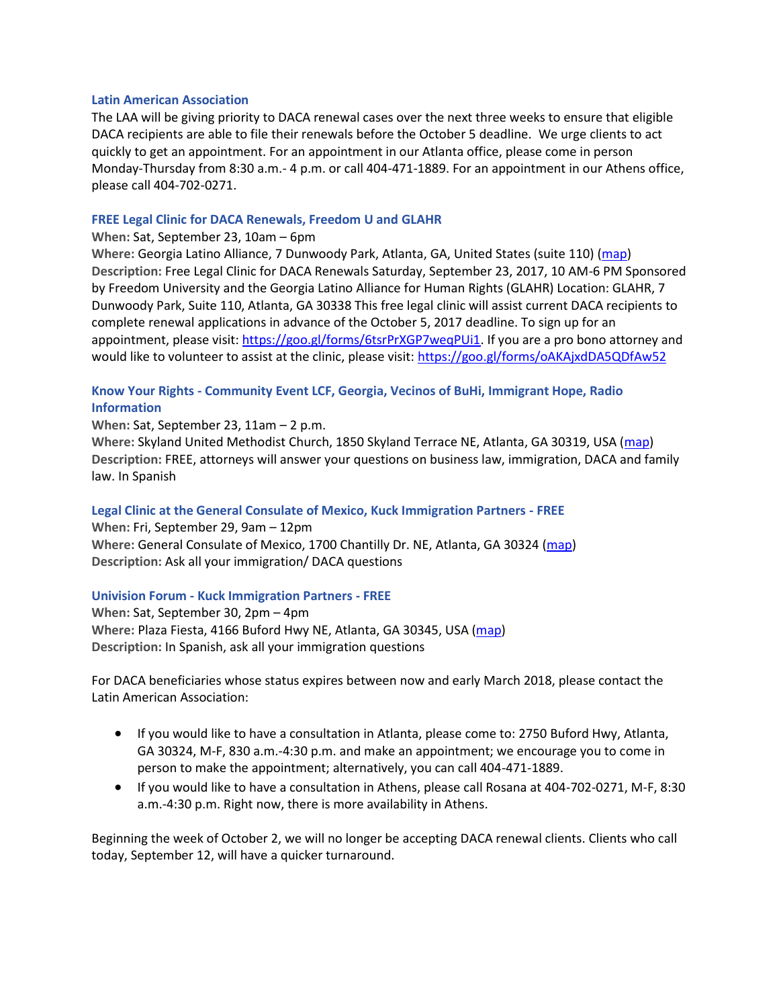#### **Latin American Association**

The LAA will be giving priority to DACA renewal cases over the next three weeks to ensure that eligible DACA recipients are able to file their renewals before the October 5 deadline. We urge clients to act quickly to get an appointment. For an appointment in our Atlanta office, please come in person Monday-Thursday from 8:30 a.m.- 4 p.m. or call 404-471-1889. For an appointment in our Athens office, please call 404-702-0271.

### **FREE Legal Clinic for DACA Renewals, Freedom U and GLAHR**

### **When:** Sat, September 23, 10am – 6pm

**Where:** Georgia Latino Alliance, 7 Dunwoody Park, Atlanta, GA, United States (suite 110) [\(map\)](https://na01.safelinks.protection.outlook.com/?url=https%3A%2F%2Fmaps.google.com%2Fmaps%3Fhl%3Den%26q%3DGeorgia%2520Latino%2520Alliance%252C%25207%2520Dunwoody%2520Park%252C%2520Atlanta%252C%2520GA%252C%2520United%2520States%2520%2528suite%2520110%2529&data=02%7C01%7Cjcoleman%40gsu.edu%7C290b070019f74d8e5b3f08d4f6f3789f%7C515ad73d8d5e4169895c9789dc742a70%7C0%7C0%7C636404972968568055&sdata=ep3Wi7TfVqlDevFX26Txyy7Qgm7ZK8SubTsLXBMgyYI%3D&reserved=0) **Description:** Free Legal Clinic for DACA Renewals Saturday, September 23, 2017, 10 AM-6 PM Sponsored by Freedom University and the Georgia Latino Alliance for Human Rights (GLAHR) Location: GLAHR, 7 Dunwoody Park, Suite 110, Atlanta, GA 30338 This free legal clinic will assist current DACA recipients to complete renewal applications in advance of the October 5, 2017 deadline. To sign up for an appointment, please visit: [https://goo.gl/forms/6tsrPrXGP7weqPUi1.](https://na01.safelinks.protection.outlook.com/?url=https%3A%2F%2Fgoo.gl%2Fforms%2F6tsrPrXGP7weqPUi1&data=02%7C01%7Cjcoleman%40gsu.edu%7C290b070019f74d8e5b3f08d4f6f3789f%7C515ad73d8d5e4169895c9789dc742a70%7C0%7C0%7C636404972968568055&sdata=jm2qPxcaD8U4B%2Fg1CgcPXm0VbRAaAkiu7JN66moH5Ss%3D&reserved=0) If you are a pro bono attorney and would like to volunteer to assist at the clinic, please visit: [https://goo.gl/forms/oAKAjxdDA5QDfAw52](https://na01.safelinks.protection.outlook.com/?url=https%3A%2F%2Fgoo.gl%2Fforms%2FoAKAjxdDA5QDfAw52&data=02%7C01%7Cjcoleman%40gsu.edu%7C290b070019f74d8e5b3f08d4f6f3789f%7C515ad73d8d5e4169895c9789dc742a70%7C0%7C0%7C636404972968568055&sdata=gQcm2JLVFwWbynsFxm%2BVDDdTszKXzk3Q6%2BapeLisY7g%3D&reserved=0)

## **Know Your Rights - Community Event LCF, Georgia, Vecinos of BuHi, Immigrant Hope, Radio Information**

### **When:** Sat, September 23, 11am – 2 p.m.

**Where:** Skyland United Methodist Church, 1850 Skyland Terrace NE, Atlanta, GA 30319, USA [\(map\)](https://na01.safelinks.protection.outlook.com/?url=https%3A%2F%2Fmaps.google.com%2Fmaps%3Fhl%3Den%26q%3DSkyland%2520United%2520Methodist%2520Church%252C%25201850%2520Skyland%2520Terrace%2520NE%252C%2520Atlanta%252C%2520GA%252030319%252C%2520USA&data=02%7C01%7Cjcoleman%40gsu.edu%7C290b070019f74d8e5b3f08d4f6f3789f%7C515ad73d8d5e4169895c9789dc742a70%7C0%7C0%7C636404972968568055&sdata=5HC5jxHwqmaqh4Z8t4Jwo%2BDkLtA2fqJ%2FVSX0AEepqws%3D&reserved=0) **Description:** FREE, attorneys will answer your questions on business law, immigration, DACA and family law. In Spanish

### **Legal Clinic at the General Consulate of Mexico, Kuck Immigration Partners - FREE**

**When:** Fri, September 29, 9am – 12pm **Where:** General Consulate of Mexico, 1700 Chantilly Dr. NE, Atlanta, GA 30324 [\(map\)](https://na01.safelinks.protection.outlook.com/?url=https%3A%2F%2Fmaps.google.com%2Fmaps%3Fhl%3Den%26q%3DGeneral%2520Consulate%2520of%2520Mexico%252C%25201700%2520Chantilly%2520Dr.%2520NE%252C%2520Atlanta%252C%2520GA%252030324&data=02%7C01%7Cjcoleman%40gsu.edu%7C290b070019f74d8e5b3f08d4f6f3789f%7C515ad73d8d5e4169895c9789dc742a70%7C0%7C0%7C636404972968568055&sdata=o0vjcBoNOd0V2XD2BdhtmDaWDT3xYdfwP%2FD1CM3sYNo%3D&reserved=0) **Description:** Ask all your immigration/ DACA questions

### **Univision Forum - Kuck Immigration Partners - FREE**

**When:** Sat, September 30, 2pm – 4pm **Where:** Plaza Fiesta, 4166 Buford Hwy NE, Atlanta, GA 30345, USA [\(map\)](https://na01.safelinks.protection.outlook.com/?url=https%3A%2F%2Fmaps.google.com%2Fmaps%3Fhl%3Den%26q%3DPlaza%2520Fiesta%252C%25204166%2520Buford%2520Hwy%2520NE%252C%2520Atlanta%252C%2520GA%252030345%252C%2520USA&data=02%7C01%7Cjcoleman%40gsu.edu%7C290b070019f74d8e5b3f08d4f6f3789f%7C515ad73d8d5e4169895c9789dc742a70%7C0%7C0%7C636404972968568055&sdata=7Io9bpOGSAvcx0UplsmVKc1%2BGOD91bkP2K2sAWpxizQ%3D&reserved=0) **Description:** In Spanish, ask all your immigration questions

For DACA beneficiaries whose status expires between now and early March 2018, please contact the Latin American Association:

- If you would like to have a consultation in Atlanta, please come to: 2750 Buford Hwy, Atlanta, GA 30324, M-F, 830 a.m.-4:30 p.m. and make an appointment; we encourage you to come in person to make the appointment; alternatively, you can call 404-471-1889.
- If you would like to have a consultation in Athens, please call Rosana at 404-702-0271, M-F, 8:30 a.m.-4:30 p.m. Right now, there is more availability in Athens.

Beginning the week of October 2, we will no longer be accepting DACA renewal clients. Clients who call today, September 12, will have a quicker turnaround.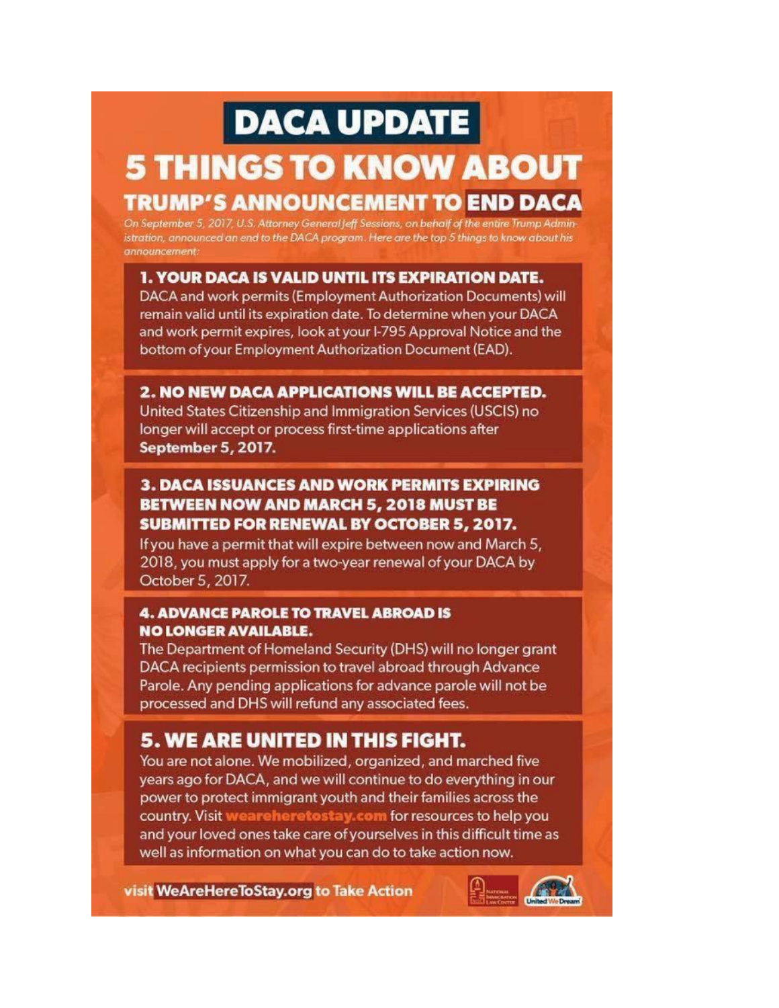# **DACA UPDATE**

# **5 THINGS TO KNOW ABOUT TRUMP'S ANNOUNCEMENT TO END DACA**

On September 5, 2017, U.S. Attorney General Jeff Sessions, on behalf of the entire Trump Administration, announced an end to the DACA program. Here are the top 5 things to know about his announcement:

# 1. YOUR DACA IS VALID UNTIL ITS EXPIRATION DATE.

DACA and work permits (Employment Authorization Documents) will remain valid until its expiration date. To determine when your DACA and work permit expires, look at your I-795 Approval Notice and the bottom of your Employment Authorization Document (EAD).

# 2. NO NEW DACA APPLICATIONS WILL BE ACCEPTED.

United States Citizenship and Immigration Services (USCIS) no longer will accept or process first-time applications after **September 5, 2017.** 

# **3. DACA ISSUANCES AND WORK PERMITS EXPIRING BETWEEN NOW AND MARCH 5, 2018 MUST BE SUBMITTED FOR RENEWAL BY OCTOBER 5, 2017.**

If you have a permit that will expire between now and March 5, 2018, you must apply for a two-year renewal of your DACA by October 5, 2017.

# **4. ADVANCE PAROLE TO TRAVEL ABROAD IS NO LONGER AVAILABLE.**

The Department of Homeland Security (DHS) will no longer grant DACA recipients permission to travel abroad through Advance Parole. Any pending applications for advance parole will not be processed and DHS will refund any associated fees.

# 5. WE ARE UNITED IN THIS FIGHT.

You are not alone. We mobilized, organized, and marched five years ago for DACA, and we will continue to do everything in our power to protect immigrant youth and their families across the country. Visit weareheretostay.com for resources to help you and your loved ones take care of yourselves in this difficult time as well as information on what you can do to take action now.

visit WeAreHereToStay.org to Take Action